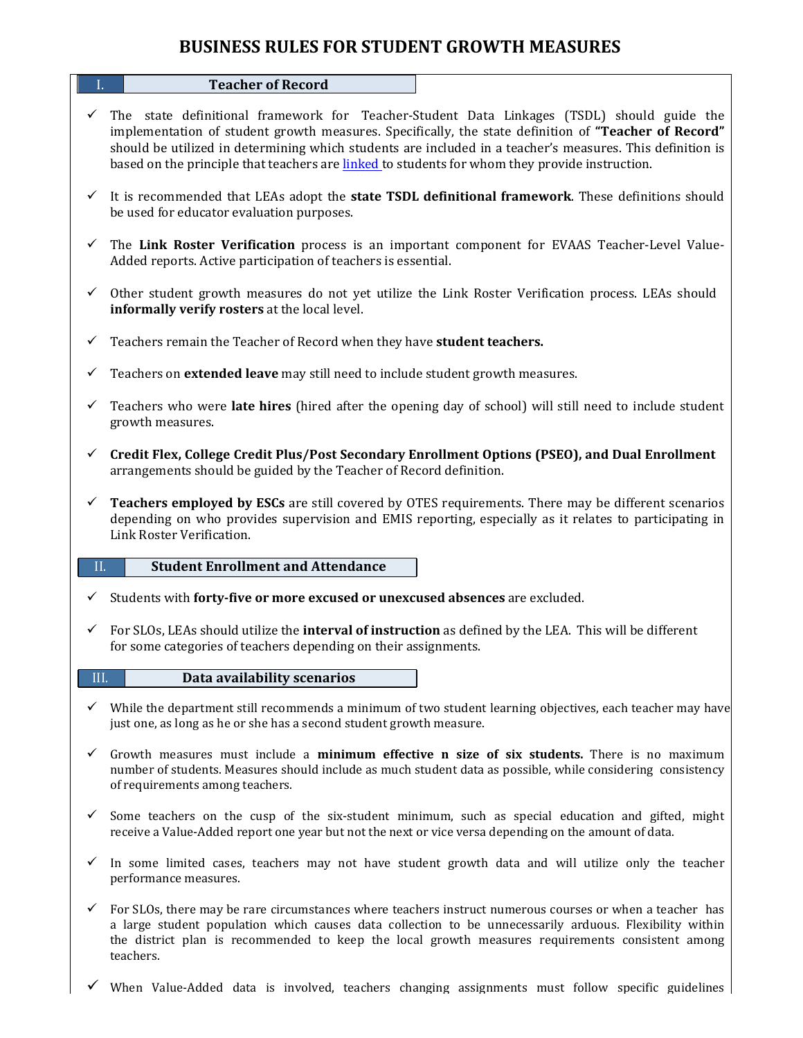# **BUSINESS RULES FOR STUDENT GROWTH MEASURES**

#### **I. Teacher of Record**

- $\checkmark$  The state definitional framework for Teacher-Student Data Linkages (TSDL) should guide the implementation of student growth measures. Specifically, the state definition of **"Teacher of Record"** should be utilized in determining which students are included in a teacher's measures. This definition is based on the principle that teachers are linked to students for whom they provide instruction.
- ü It is recommended that LEAs adopt the **state TSDL definitional framework**. These definitions should be used for educator evaluation purposes.
- ü The **Link Roster Verification** process is an important component for EVAAS Teacher-Level Value-Added reports. Active participation of teachers is essential.
- $\checkmark$  Other student growth measures do not yet utilize the Link Roster Verification process. LEAs should **informally verify rosters** at the local level.
- $\checkmark$  Teachers remain the Teacher of Record when they have **student teachers.**
- $\checkmark$  Teachers on **extended leave** may still need to include student growth measures.
- $\checkmark$  Teachers who were **late hires** (hired after the opening day of school) will still need to include student growth measures.
- ü **Credit Flex, College Credit Plus/Post Secondary Enrollment Options (PSEO), and Dual Enrollment** arrangements should be guided by the Teacher of Record definition.
- ü **Teachers employed by ESCs** are still covered by OTES requirements. There may be different scenarios depending on who provides supervision and EMIS reporting, especially as it relates to participating in Link Roster Verification.

# II. **Student Enrollment and Attendance**

- ü Students with **forty-five or more excused or unexcused absences** are excluded.
- $\checkmark$  For SLOs, LEAs should utilize the **interval of instruction** as defined by the LEA. This will be different for some categories of teachers depending on their assignments.

### **III. Data** availability scenarios

- $\checkmark$  While the department still recommends a minimum of two student learning objectives, each teacher may have just one, as long as he or she has a second student growth measure.
- ü Growth measures must include a **minimum effective n size of six students.** There is no maximum number of students. Measures should include as much student data as possible, while considering consistency of requirements among teachers.
- $\checkmark$  Some teachers on the cusp of the six-student minimum, such as special education and gifted, might receive a Value-Added report one year but not the next or vice versa depending on the amount of data.
- $\checkmark$  In some limited cases, teachers may not have student growth data and will utilize only the teacher performance measures.
- $\checkmark$  For SLOs, there may be rare circumstances where teachers instruct numerous courses or when a teacher has a large student population which causes data collection to be unnecessarily arduous. Flexibility within the district plan is recommended to keep the local growth measures requirements consistent among teachers.
- ü When Value-Added data is involved, teachers changing assignments must follow specific guidelines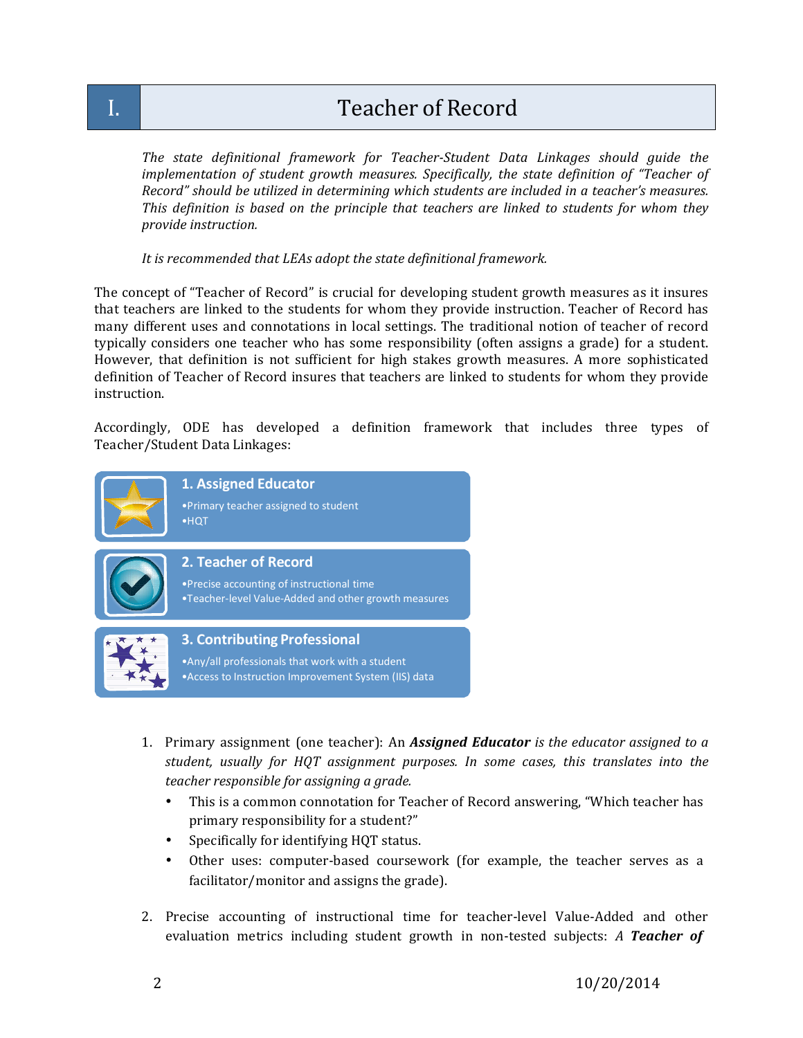# I. Teacher of Record

*The state definitional framework for Teacher-Student Data Linkages should guide the implementation of student growth measures. Specifically, the state definition of "Teacher of Record" should be utilized in determining which students are included in a teacher's measures. This definition is based on the principle that teachers are linked to students for whom they provide instruction.*

*It is recommended that LEAs adopt the state definitional framework.*

The concept of "Teacher of Record" is crucial for developing student growth measures as it insures that teachers are linked to the students for whom they provide instruction. Teacher of Record has many different uses and connotations in local settings. The traditional notion of teacher of record typically considers one teacher who has some responsibility (often assigns a grade) for a student. However, that definition is not sufficient for high stakes growth measures. A more sophisticated definition of Teacher of Record insures that teachers are linked to students for whom they provide instruction.

Accordingly, ODE has developed a definition framework that includes three types of Teacher/Student Data Linkages:



- 1. Primary assignment (one teacher): An *Assigned Educator is the educator assigned to a student, usually for HQT assignment purposes. In some cases, this translates into the teacher responsible for assigning a grade.*
	- This is a common connotation for Teacher of Record answering, "Which teacher has primary responsibility for a student?"
	- Specifically for identifying HQT status.
	- Other uses: computer-based coursework (for example, the teacher serves as a facilitator/monitor and assigns the grade).
- 2. Precise accounting of instructional time for teacher-level Value-Added and other evaluation metrics including student growth in non-tested subjects: *A Teacher of*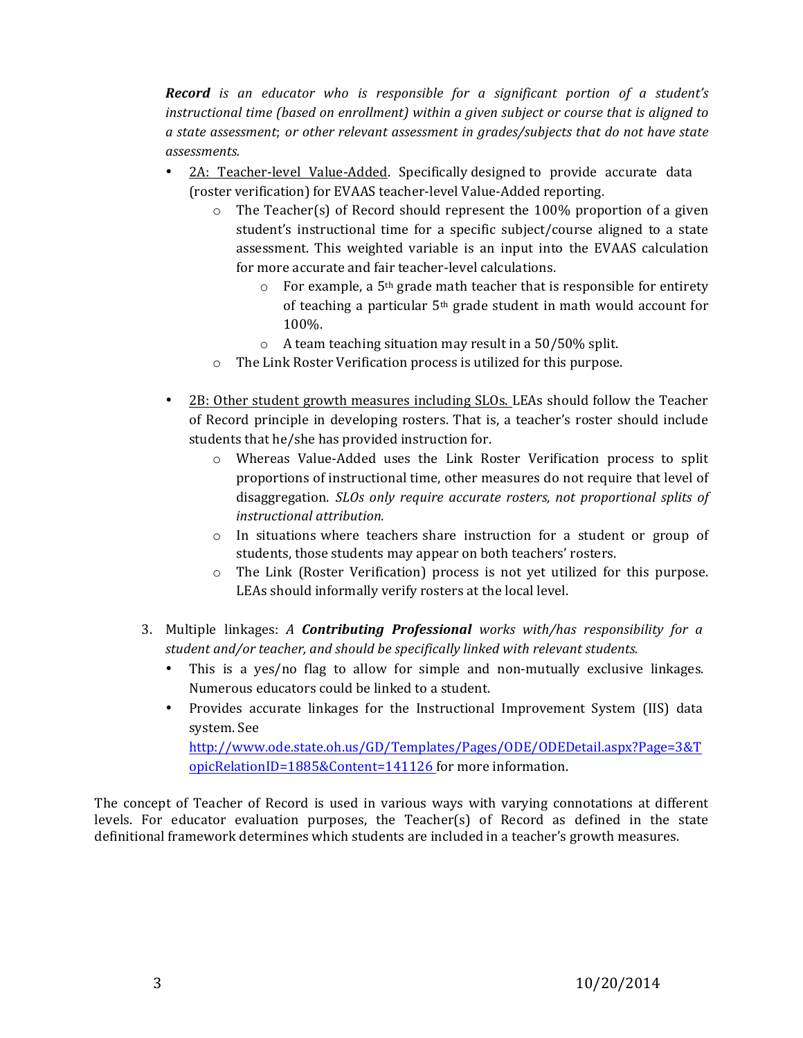*Record is an educator who is responsible for a significant portion of a student's instructional time (based on enrollment) within a given subject or course that is aligned to a state assessment*; *or other relevant assessment in grades/subjects that do not have state assessments.*

- 2A: Teacher-level Value-Added. Specifically designed to provide accurate data (roster verification) for EVAAS teacher-level Value-Added reporting.
	- $\circ$  The Teacher(s) of Record should represent the 100% proportion of a given student's instructional time for a specific subject/course aligned to a state assessment. This weighted variable is an input into the EVAAS calculation for more accurate and fair teacher-level calculations.
		- $\circ$  For example, a 5<sup>th</sup> grade math teacher that is responsible for entirety of teaching a particular  $5<sup>th</sup>$  grade student in math would account for 100%.
		- $\circ$  A team teaching situation may result in a 50/50% split.
	- $\circ$  The Link Roster Verification process is utilized for this purpose.
- 2B: Other student growth measures including SLOs. LEAs should follow the Teacher of Record principle in developing rosters. That is, a teacher's roster should include students that he/she has provided instruction for.
	- o Whereas Value-Added uses the Link Roster Verification process to split proportions of instructional time, other measures do not require that level of disaggregation. *SLOs only require accurate rosters, not proportional splits of instructional attribution.*
	- $\circ$  In situations where teachers share instruction for a student or group of students, those students may appear on both teachers' rosters.
	- o The Link (Roster Verification) process is not yet utilized for this purpose. LEAs should informally verify rosters at the local level.
- 3. Multiple linkages: *A Contributing Professional works with/has responsibility for a student and/or teacher, and should be specifically linked with relevant students.*
	- This is a yes/no flag to allow for simple and non-mutually exclusive linkages. Numerous educators could be linked to a student.
	- Provides accurate linkages for the Instructional Improvement System (IIS) data system. See http://www.ode.state.oh.us/GD/Templates/Pages/ODE/ODEDetail.aspx?Page=3&T

opicRelationID=1885&Content=141126 for more information.

The concept of Teacher of Record is used in various ways with varying connotations at different levels. For educator evaluation purposes, the Teacher(s) of Record as defined in the state definitional framework determines which students are included in a teacher's growth measures.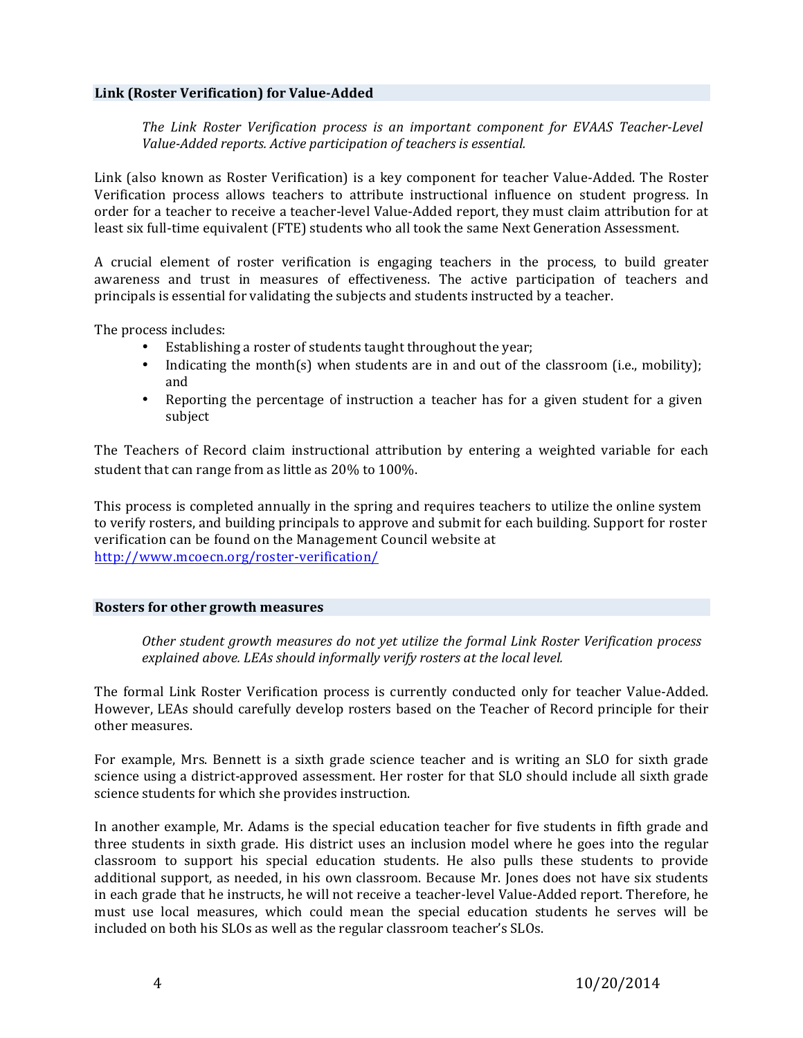### **Link (Roster Verification) for Value-Added**

*The Link Roster Verification process is an important component for EVAAS Teacher-Level Value-Added reports. Active participation of teachers is essential.*

Link (also known as Roster Verification) is a key component for teacher Value-Added. The Roster Verification process allows teachers to attribute instructional influence on student progress. In order for a teacher to receive a teacher-level Value-Added report, they must claim attribution for at least six full-time equivalent (FTE) students who all took the same Next Generation Assessment.

A crucial element of roster verification is engaging teachers in the process, to build greater awareness and trust in measures of effectiveness. The active participation of teachers and principals is essential for validating the subjects and students instructed by a teacher.

The process includes:

- Establishing a roster of students taught throughout the year;
- Indicating the month(s) when students are in and out of the classroom (i.e., mobility); and
- Reporting the percentage of instruction a teacher has for a given student for a given subject

The Teachers of Record claim instructional attribution by entering a weighted variable for each student that can range from as little as 20% to 100%.

This process is completed annually in the spring and requires teachers to utilize the online system to verify rosters, and building principals to approve and submit for each building. Support for roster verification can be found on the Management Council website at http://www.mcoecn.org/roster-verification/

### **Rosters for other growth measures**

*Other student growth measures do not yet utilize the formal Link Roster Verification process explained above. LEAs should informally verify rosters at the local level.*

The formal Link Roster Verification process is currently conducted only for teacher Value-Added. However, LEAs should carefully develop rosters based on the Teacher of Record principle for their other measures.

For example, Mrs. Bennett is a sixth grade science teacher and is writing an SLO for sixth grade science using a district-approved assessment. Her roster for that SLO should include all sixth grade science students for which she provides instruction.

In another example, Mr. Adams is the special education teacher for five students in fifth grade and three students in sixth grade. His district uses an inclusion model where he goes into the regular classroom to support his special education students. He also pulls these students to provide additional support, as needed, in his own classroom. Because Mr. Jones does not have six students in each grade that he instructs, he will not receive a teacher-level Value-Added report. Therefore, he must use local measures, which could mean the special education students he serves will be included on both his SLOs as well as the regular classroom teacher's SLOs.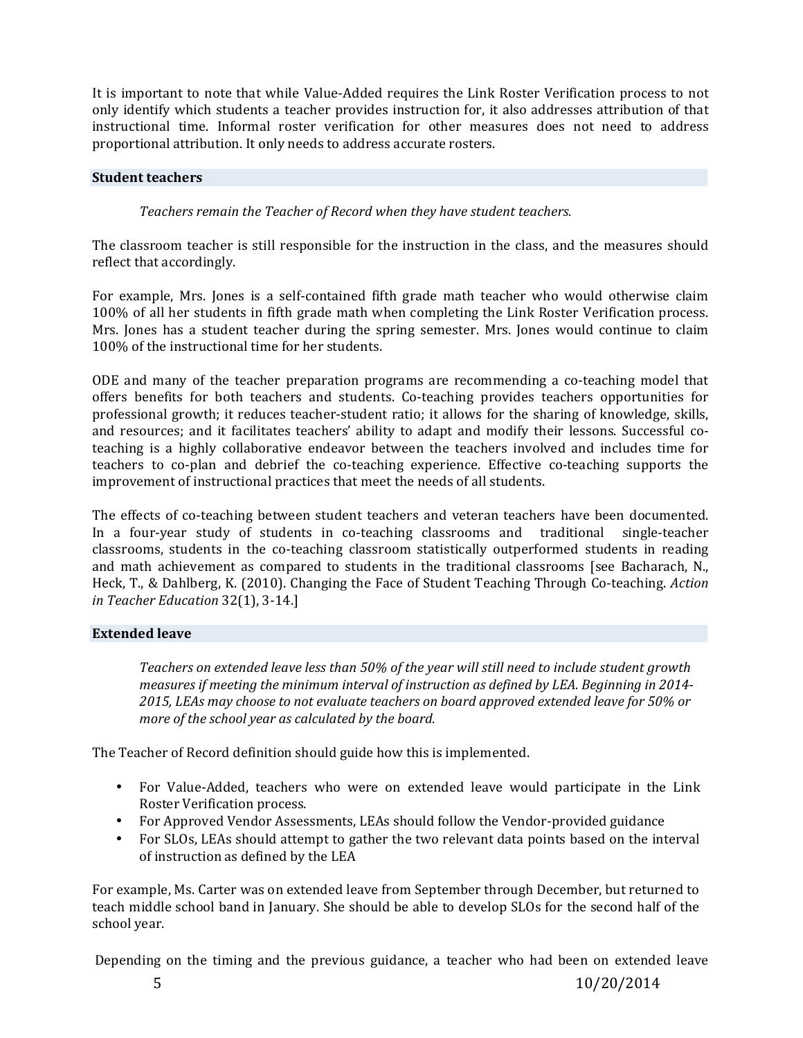It is important to note that while Value-Added requires the Link Roster Verification process to not only identify which students a teacher provides instruction for, it also addresses attribution of that instructional time. Informal roster verification for other measures does not need to address proportional attribution. It only needs to address accurate rosters.

## **Student teachers**

*Teachers remain the Teacher of Record when they have student teachers.* 

The classroom teacher is still responsible for the instruction in the class, and the measures should reflect that accordingly.

For example, Mrs. Jones is a self-contained fifth grade math teacher who would otherwise claim 100% of all her students in fifth grade math when completing the Link Roster Verification process. Mrs. Jones has a student teacher during the spring semester. Mrs. Jones would continue to claim 100% of the instructional time for her students.

ODE and many of the teacher preparation programs are recommending a co-teaching model that offers benefits for both teachers and students. Co-teaching provides teachers opportunities for professional growth; it reduces teacher-student ratio; it allows for the sharing of knowledge, skills, and resources; and it facilitates teachers' ability to adapt and modify their lessons. Successful coteaching is a highly collaborative endeavor between the teachers involved and includes time for teachers to co-plan and debrief the co-teaching experience. Effective co-teaching supports the improvement of instructional practices that meet the needs of all students.

The effects of co-teaching between student teachers and veteran teachers have been documented. In a four-year study of students in co-teaching classrooms and traditional single-teacher classrooms, students in the co-teaching classroom statistically outperformed students in reading and math achievement as compared to students in the traditional classrooms [see Bacharach, N., Heck, T., & Dahlberg, K. (2010). Changing the Face of Student Teaching Through Co-teaching. *Action in Teacher Education* 32(1), 3-14.]

# **Extended leave**

*Teachers* on extended leave less than 50% of the year will still need to include student growth measures if meeting the minimum interval of instruction as defined by LEA. Beginning in 2014-2015, LEAs may choose to not evaluate teachers on board approved extended leave for 50% or *more of the school year as calculated by the board.* 

The Teacher of Record definition should guide how this is implemented.

- For Value-Added, teachers who were on extended leave would participate in the Link Roster Verification process.
- For Approved Vendor Assessments, LEAs should follow the Vendor-provided guidance
- For SLOs, LEAs should attempt to gather the two relevant data points based on the interval of instruction as defined by the LEA

For example, Ms. Carter was on extended leave from September through December, but returned to teach middle school band in January. She should be able to develop SLOs for the second half of the school year.

Depending on the timing and the previous guidance, a teacher who had been on extended leave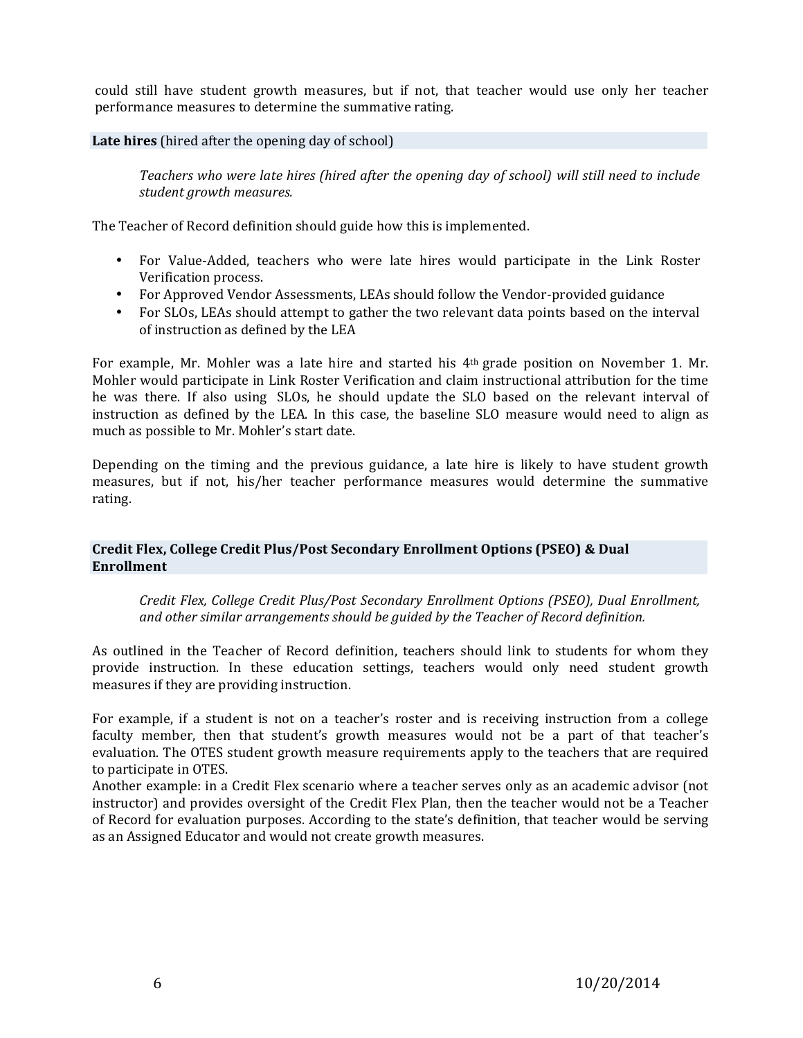could still have student growth measures, but if not, that teacher would use only her teacher performance measures to determine the summative rating.

**Late hires** (hired after the opening day of school)

*Teachers who were late hires (hired after the opening day of school) will still need to include student growth measures.*

The Teacher of Record definition should guide how this is implemented.

- For Value-Added, teachers who were late hires would participate in the Link Roster Verification process.
- For Approved Vendor Assessments, LEAs should follow the Vendor-provided guidance
- For SLOs, LEAs should attempt to gather the two relevant data points based on the interval of instruction as defined by the LEA

For example, Mr. Mohler was a late hire and started his 4th grade position on November 1. Mr. Mohler would participate in Link Roster Verification and claim instructional attribution for the time he was there. If also using SLOs, he should update the SLO based on the relevant interval of instruction as defined by the LEA. In this case, the baseline SLO measure would need to align as much as possible to Mr. Mohler's start date.

Depending on the timing and the previous guidance, a late hire is likely to have student growth measures, but if not, his/her teacher performance measures would determine the summative rating.

# **Credit Flex, College Credit Plus/Post Secondary Enrollment Options (PSEO) & Dual Enrollment**

*Credit Flex, College Credit Plus/Post Secondary Enrollment Options (PSEO), Dual Enrollment, and other similar arrangements should be guided by the Teacher of Record definition.*

As outlined in the Teacher of Record definition, teachers should link to students for whom they provide instruction. In these education settings, teachers would only need student growth measures if they are providing instruction.

For example, if a student is not on a teacher's roster and is receiving instruction from a college faculty member, then that student's growth measures would not be a part of that teacher's evaluation. The OTES student growth measure requirements apply to the teachers that are required to participate in OTES.

Another example: in a Credit Flex scenario where a teacher serves only as an academic advisor (not instructor) and provides oversight of the Credit Flex Plan, then the teacher would not be a Teacher of Record for evaluation purposes. According to the state's definition, that teacher would be serving as an Assigned Educator and would not create growth measures.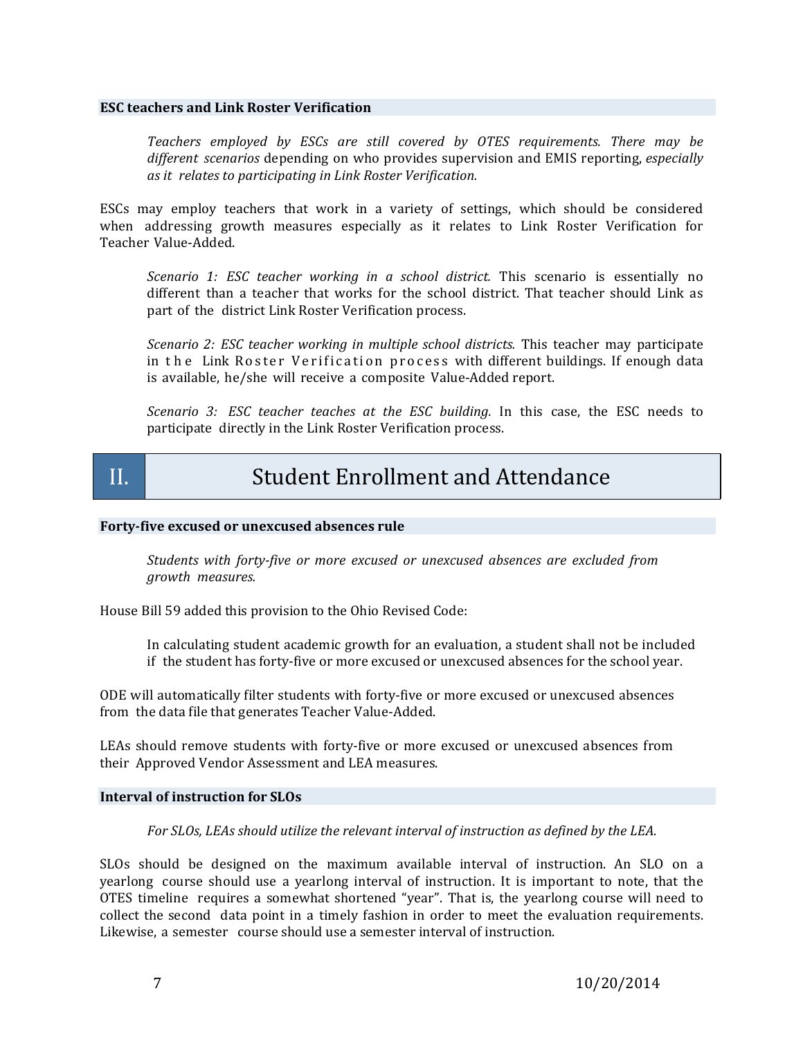### **ESC teachers and Link Roster Verification**

*Teachers employed by ESCs are still covered by OTES requirements. There may be different scenarios* depending on who provides supervision and EMIS reporting, *especially as it relates to participating in Link Roster Verification.*

ESCs may employ teachers that work in a variety of settings, which should be considered when addressing growth measures especially as it relates to Link Roster Verification for Teacher Value-Added.

*Scenario 1: ESC teacher working in a school district.* This scenario is essentially no different than a teacher that works for the school district. That teacher should Link as part of the district Link Roster Verification process.

*Scenario 2: ESC teacher working in multiple school districts.* This teacher may participate in the Link Roster Verification process with different buildings. If enough data is available, he/she will receive a composite Value-Added report.

*Scenario 3: ESC teacher teaches at the ESC building.* In this case, the ESC needs to participate directly in the Link Roster Verification process.

# II. Student Enrollment and Attendance

### **Forty-five excused or unexcused absences rule**

*Students with forty-five or more excused or unexcused absences are excluded from growth measures.*

House Bill 59 added this provision to the Ohio Revised Code:

In calculating student academic growth for an evaluation, a student shall not be included if the student has forty-five or more excused or unexcused absences for the school year.

ODE will automatically filter students with forty-five or more excused or unexcused absences from the data file that generates Teacher Value-Added.

LEAs should remove students with forty-five or more excused or unexcused absences from their Approved Vendor Assessment and LEA measures.

### **Interval of instruction for SLOs**

*For SLOs, LEAs should utilize the relevant interval of instruction as defined by the LEA.* 

SLOs should be designed on the maximum available interval of instruction. An SLO on a yearlong course should use a yearlong interval of instruction. It is important to note, that the OTES timeline requires a somewhat shortened "year". That is, the yearlong course will need to collect the second data point in a timely fashion in order to meet the evaluation requirements. Likewise, a semester course should use a semester interval of instruction.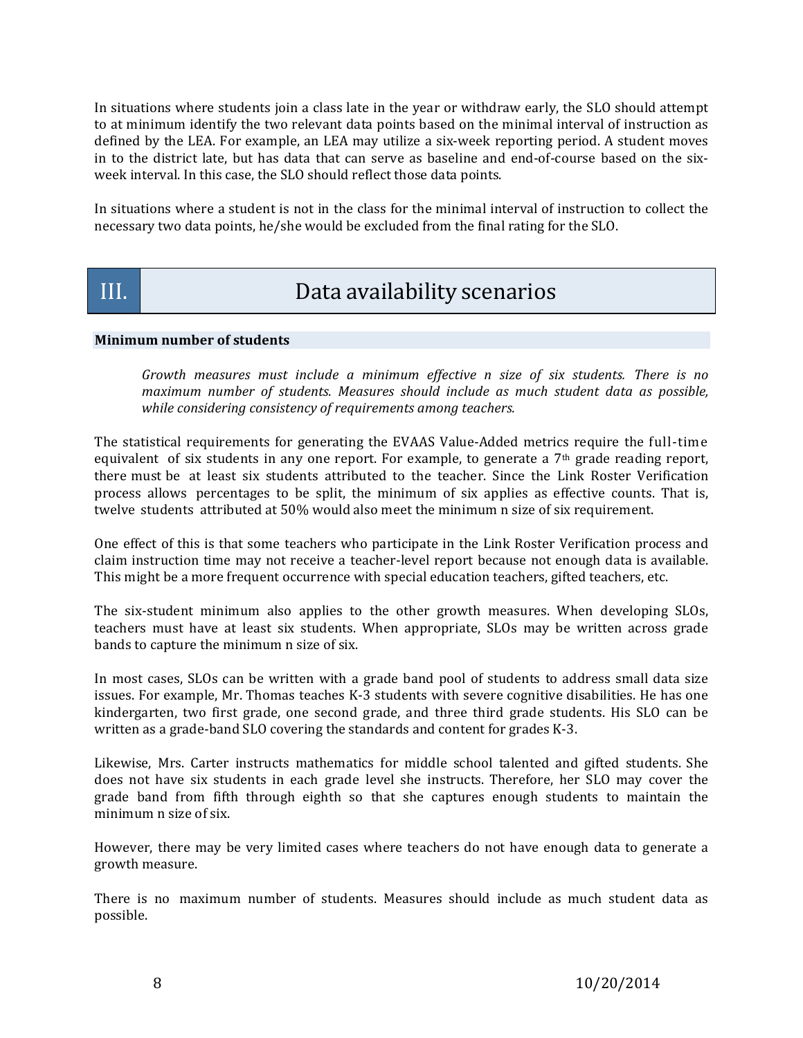In situations where students join a class late in the year or withdraw early, the SLO should attempt to at minimum identify the two relevant data points based on the minimal interval of instruction as defined by the LEA. For example, an LEA may utilize a six-week reporting period. A student moves in to the district late, but has data that can serve as baseline and end-of-course based on the sixweek interval. In this case, the SLO should reflect those data points.

In situations where a student is not in the class for the minimal interval of instruction to collect the necessary two data points, he/she would be excluded from the final rating for the SLO.

# III. Data availability scenarios

# **Minimum number of students**

*Growth measures must include a minimum effective n size of six students. There is no maximum number of students. Measures should include as much student data as possible, while considering consistency of requirements among teachers.* 

The statistical requirements for generating the EVAAS Value-Added metrics require the full-time equivalent of six students in any one report. For example, to generate a 7th grade reading report, there must be at least six students attributed to the teacher. Since the Link Roster Verification process allows percentages to be split, the minimum of six applies as effective counts. That is, twelve students attributed at 50% would also meet the minimum n size of six requirement.

One effect of this is that some teachers who participate in the Link Roster Verification process and claim instruction time may not receive a teacher-level report because not enough data is available. This might be a more frequent occurrence with special education teachers, gifted teachers, etc.

The six-student minimum also applies to the other growth measures. When developing SLOs, teachers must have at least six students. When appropriate, SLOs may be written across grade bands to capture the minimum n size of six.

In most cases, SLOs can be written with a grade band pool of students to address small data size issues. For example, Mr. Thomas teaches K-3 students with severe cognitive disabilities. He has one kindergarten, two first grade, one second grade, and three third grade students. His SLO can be written as a grade-band SLO covering the standards and content for grades K-3.

Likewise, Mrs. Carter instructs mathematics for middle school talented and gifted students. She does not have six students in each grade level she instructs. Therefore, her SLO may cover the grade band from fifth through eighth so that she captures enough students to maintain the minimum n size of six.

However, there may be very limited cases where teachers do not have enough data to generate a growth measure.

There is no maximum number of students. Measures should include as much student data as possible.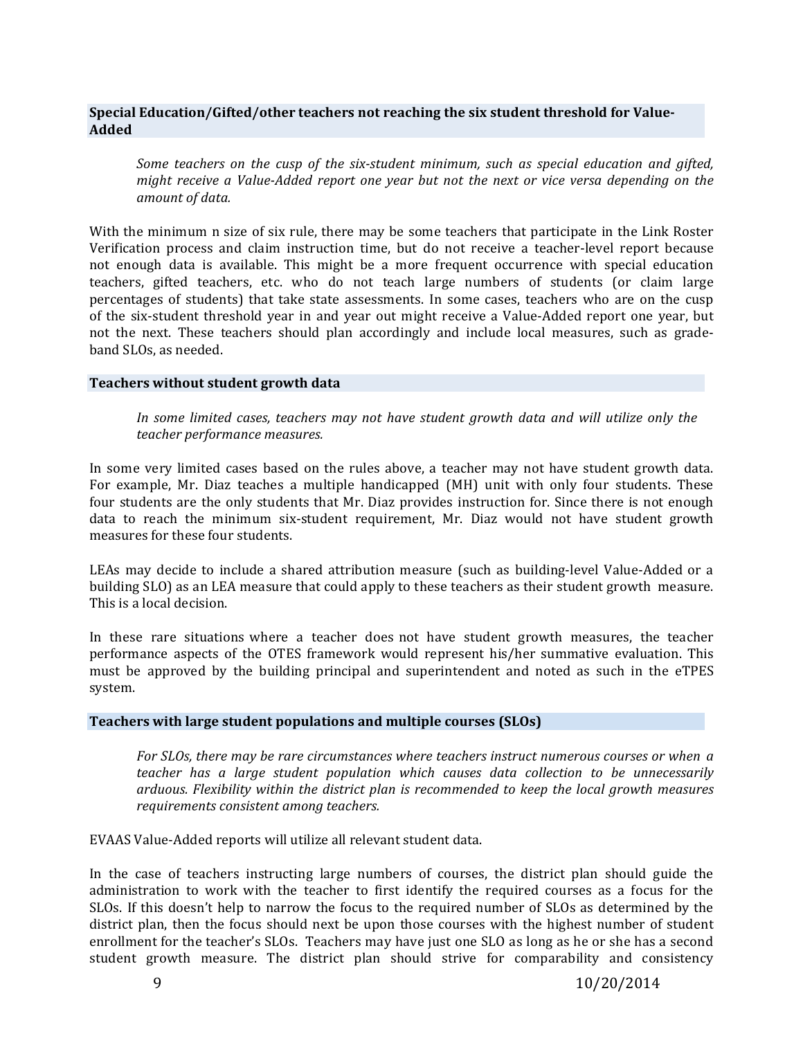# **Special Education/Gifted/other teachers not reaching the six student threshold for Value-Added**

*Some teachers on the cusp of the six-student minimum, such as special education and gifted, might receive a Value-Added report one year but not the next or vice versa depending on the amount of data.*

With the minimum n size of six rule, there may be some teachers that participate in the Link Roster Verification process and claim instruction time, but do not receive a teacher-level report because not enough data is available. This might be a more frequent occurrence with special education teachers, gifted teachers, etc. who do not teach large numbers of students (or claim large percentages of students) that take state assessments. In some cases, teachers who are on the cusp of the six-student threshold year in and year out might receive a Value-Added report one year, but not the next. These teachers should plan accordingly and include local measures, such as gradeband SLOs, as needed.

### **Teachers without student growth data**

*In some limited cases, teachers may not have student growth data and will utilize only the teacher performance measures.*

In some very limited cases based on the rules above, a teacher may not have student growth data. For example, Mr. Diaz teaches a multiple handicapped (MH) unit with only four students. These four students are the only students that Mr. Diaz provides instruction for. Since there is not enough data to reach the minimum six-student requirement, Mr. Diaz would not have student growth measures for these four students.

LEAs may decide to include a shared attribution measure (such as building-level Value-Added or a building SLO) as an LEA measure that could apply to these teachers as their student growth measure. This is a local decision.

In these rare situations where a teacher does not have student growth measures, the teacher performance aspects of the OTES framework would represent his/her summative evaluation. This must be approved by the building principal and superintendent and noted as such in the eTPES system.

## **Teachers** with large student populations and multiple courses (SLOs)

*For SLOs, there may be rare circumstances where teachers instruct numerous courses or when a teacher has a large student population which causes data collection to be unnecessarily arduous. Flexibility within the district plan is recommended to keep the local growth measures requirements consistent among teachers.*

EVAAS Value-Added reports will utilize all relevant student data.

In the case of teachers instructing large numbers of courses, the district plan should guide the administration to work with the teacher to first identify the required courses as a focus for the SLOs. If this doesn't help to narrow the focus to the required number of SLOs as determined by the district plan, then the focus should next be upon those courses with the highest number of student enrollment for the teacher's SLOs. Teachers may have just one SLO as long as he or she has a second student growth measure. The district plan should strive for comparability and consistency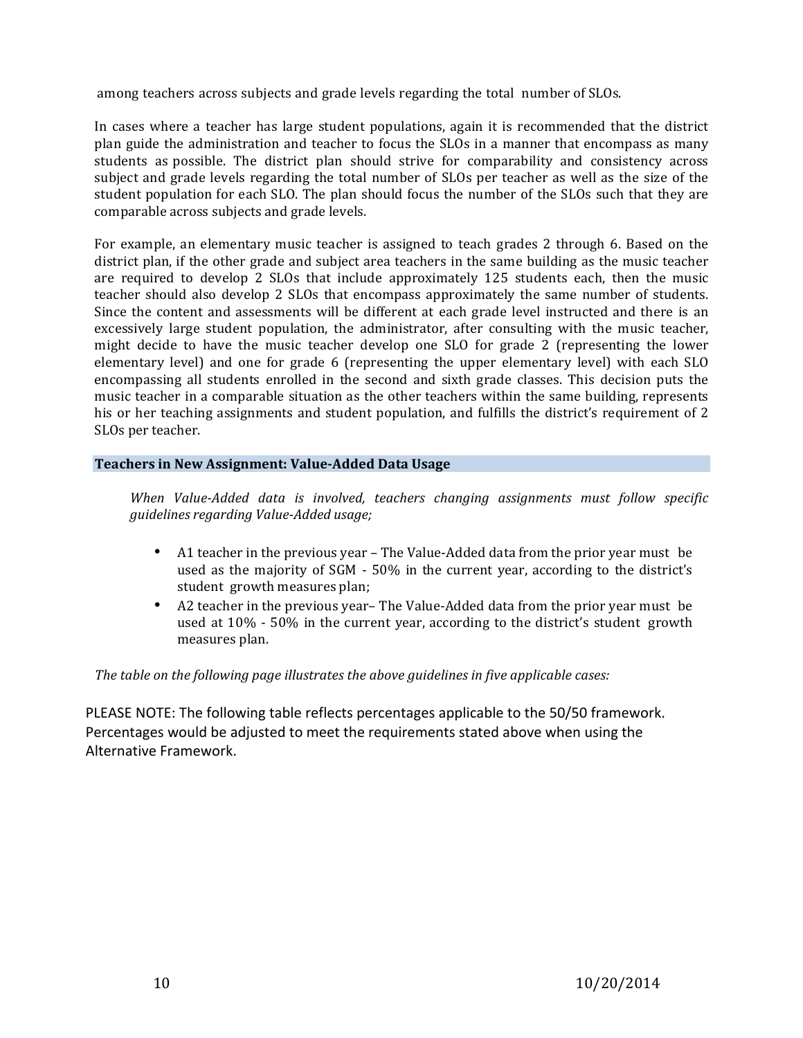among teachers across subjects and grade levels regarding the total number of SLOs.

In cases where a teacher has large student populations, again it is recommended that the district plan guide the administration and teacher to focus the SLOs in a manner that encompass as many students as possible. The district plan should strive for comparability and consistency across subject and grade levels regarding the total number of SLOs per teacher as well as the size of the student population for each SLO. The plan should focus the number of the SLOs such that they are comparable across subjects and grade levels.

For example, an elementary music teacher is assigned to teach grades 2 through 6. Based on the district plan, if the other grade and subject area teachers in the same building as the music teacher are required to develop 2 SLOs that include approximately 125 students each, then the music teacher should also develop 2 SLOs that encompass approximately the same number of students. Since the content and assessments will be different at each grade level instructed and there is an excessively large student population, the administrator, after consulting with the music teacher, might decide to have the music teacher develop one SLO for grade 2 (representing the lower elementary level) and one for grade 6 (representing the upper elementary level) with each SLO encompassing all students enrolled in the second and sixth grade classes. This decision puts the music teacher in a comparable situation as the other teachers within the same building, represents his or her teaching assignments and student population, and fulfills the district's requirement of 2 SLOs per teacher.

# **Teachers in New Assignment: Value-Added Data Usage**

*When Value-Added data is involved, teachers changing assignments must follow specific guidelines regarding Value-Added usage;*

- A1 teacher in the previous year The Value-Added data from the prior year must be used as the majority of SGM - 50% in the current year, according to the district's student growth measures plan;
- A2 teacher in the previous year-The Value-Added data from the prior year must be used at  $10\%$  - 50% in the current year, according to the district's student growth measures plan.

*The table on the following page illustrates the above guidelines in five applicable cases:* 

PLEASE NOTE: The following table reflects percentages applicable to the 50/50 framework. Percentages would be adjusted to meet the requirements stated above when using the Alternative Framework.